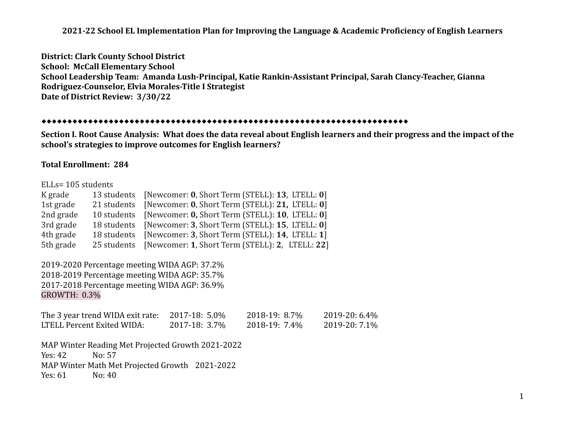**District: Clark County School District School: McCall Elementary School School Leadership Team: Amanda Lush-Principal, Katie Rankin-Assistant Principal, Sarah Clancy-Teacher, Gianna Rodriguez-Counselor, Elvia Morales-Title I Strategist Date of District Review: 3/30/22**

#### ⬥⬥⬥⬥⬥⬥⬥⬥⬥⬥⬥⬥⬥⬥⬥⬥⬥⬥⬥⬥⬥⬥⬥⬥⬥⬥⬥⬥⬥⬥⬥⬥⬥⬥⬥⬥⬥⬥⬥⬥⬥⬥⬥⬥⬥⬥⬥⬥⬥⬥⬥⬥⬥⬥⬥⬥⬥⬥⬥⬥⬥⬥⬥⬥⬥⬥⬥⬥⬥⬥⬥

**Section I. Root Cause Analysis: What does the data reveal about English learners and their progress and the impact of the school's strategies to improve outcomes for English learners?**

## **Total Enrollment: 284**

#### ELLs= 105 students

| K grade   |             | 13 students [Newcomer: 0, Short Term (STELL): 13, LTELL: 0] |
|-----------|-------------|-------------------------------------------------------------|
| 1st grade | 21 students | [Newcomer: 0, Short Term (STELL): 21, LTELL: 0]             |
| 2nd grade |             | 10 students [Newcomer: 0, Short Term (STELL): 10, LTELL: 0] |
| 3rd grade |             | 18 students [Newcomer: 3, Short Term (STELL): 15, LTELL: 0] |
| 4th grade | 18 students | [Newcomer: 3, Short Term (STELL): 14, LTELL: 1]             |
| 5th grade |             | 25 students [Newcomer: 1, Short Term (STELL): 2, LTELL: 22] |

2019-2020 Percentage meeting WIDA AGP: 37.2% 2018-2019 Percentage meeting WIDA AGP: 35.7% 2017-2018 Percentage meeting WIDA AGP: 36.9% GROWTH: 0.3%

| The 3 year trend WIDA exit rate: | 2017-18: 5.0% | 2018-19: 8.7% | 2019-20: 6.4% |
|----------------------------------|---------------|---------------|---------------|
| LTELL Percent Exited WIDA:       | 2017-18: 3.7% | 2018-19: 7.4% | 2019-20: 7.1% |

MAP Winter Reading Met Projected Growth 2021-2022 Yes: 42 No: 57 MAP Winter Math Met Projected Growth 2021-2022 Yes: 61 No: 40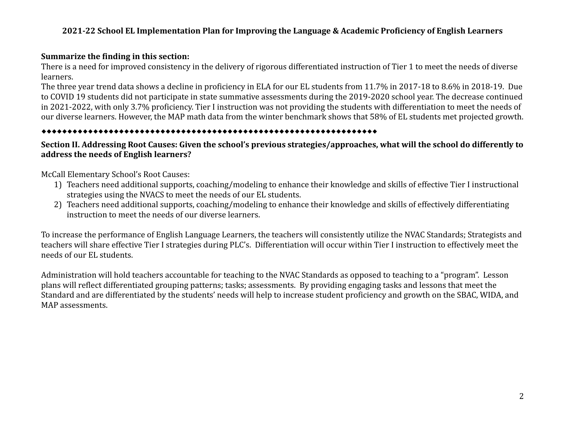## **Summarize the finding in this section:**

There is a need for improved consistency in the delivery of rigorous differentiated instruction of Tier 1 to meet the needs of diverse learners.

The three year trend data shows a decline in proficiency in ELA for our EL students from 11.7% in 2017-18 to 8.6% in 2018-19. Due to COVID 19 students did not participate in state summative assessments during the 2019-2020 school year. The decrease continued in 2021-2022, with only 3.7% proficiency. Tier I instruction was not providing the students with differentiation to meet the needs of our diverse learners. However, the MAP math data from the winter benchmark shows that 58% of EL students met projected growth.

# ⬥⬥⬥⬥⬥⬥⬥⬥⬥⬥⬥⬥⬥⬥⬥⬥⬥⬥⬥⬥⬥⬥⬥⬥⬥⬥⬥⬥⬥⬥⬥⬥⬥⬥⬥⬥⬥⬥⬥⬥⬥⬥⬥⬥⬥⬥⬥⬥⬥⬥⬥⬥⬥⬥⬥⬥⬥⬥⬥⬥⬥⬥⬥⬥⬥

# **Section II. Addressing Root Causes: Given the school's previous strategies/approaches, what will the school do differently to address the needs of English learners?**

## McCall Elementary School's Root Causes:

- 1) Teachers need additional supports, coaching/modeling to enhance their knowledge and skills of effective Tier I instructional strategies using the NVACS to meet the needs of our EL students.
- 2) Teachers need additional supports, coaching/modeling to enhance their knowledge and skills of effectively differentiating instruction to meet the needs of our diverse learners.

To increase the performance of English Language Learners, the teachers will consistently utilize the NVAC Standards; Strategists and teachers will share effective Tier I strategies during PLC's. Differentiation will occur within Tier I instruction to effectively meet the needs of our EL students.

Administration will hold teachers accountable for teaching to the NVAC Standards as opposed to teaching to a "program". Lesson plans will reflect differentiated grouping patterns; tasks; assessments. By providing engaging tasks and lessons that meet the Standard and are differentiated by the students' needs will help to increase student proficiency and growth on the SBAC, WIDA, and MAP assessments.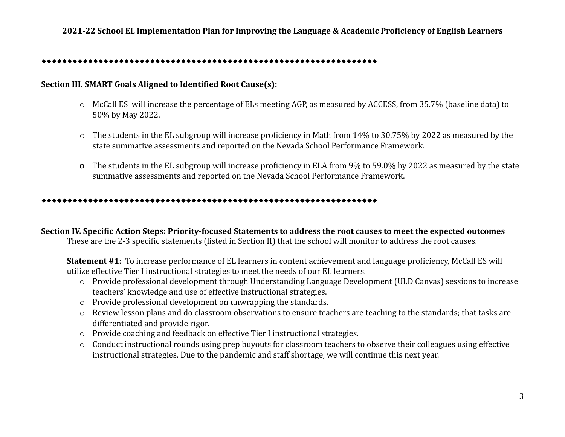#### ⬥⬥⬥⬥⬥⬥⬥⬥⬥⬥⬥⬥⬥⬥⬥⬥⬥⬥⬥⬥⬥⬥⬥⬥⬥⬥⬥⬥⬥⬥⬥⬥⬥⬥⬥⬥⬥⬥⬥⬥⬥⬥⬥⬥⬥⬥⬥⬥⬥⬥⬥⬥⬥⬥⬥⬥⬥⬥⬥⬥⬥⬥⬥⬥⬥

### **Section III. SMART Goals Aligned to Identified Root Cause(s):**

- o McCall ES will increase the percentage of ELs meeting AGP, as measured by ACCESS, from 35.7% (baseline data) to 50% by May 2022.
- o The students in the EL subgroup will increase proficiency in Math from 14% to 30.75% by 2022 as measured by the state summative assessments and reported on the Nevada School Performance Framework.
- o The students in the EL subgroup will increase proficiency in ELA from 9% to 59.0% by 2022 as measured by the state summative assessments and reported on the Nevada School Performance Framework.

#### ⬥⬥⬥⬥⬥⬥⬥⬥⬥⬥⬥⬥⬥⬥⬥⬥⬥⬥⬥⬥⬥⬥⬥⬥⬥⬥⬥⬥⬥⬥⬥⬥⬥⬥⬥⬥⬥⬥⬥⬥⬥⬥⬥⬥⬥⬥⬥⬥⬥⬥⬥⬥⬥⬥⬥⬥⬥⬥⬥⬥⬥⬥⬥⬥⬥

**Section IV. Specific Action Steps: Priority-focused Statements to address the root causes to meet the expected outcomes** These are the 2-3 specific statements (listed in Section II) that the school will monitor to address the root causes.

**Statement #1:** To increase performance of EL learners in content achievement and language proficiency, McCall ES will utilize effective Tier I instructional strategies to meet the needs of our EL learners.

- o Provide professional development through Understanding Language Development (ULD Canvas) sessions to increase teachers' knowledge and use of effective instructional strategies.
- o Provide professional development on unwrapping the standards.
- o Review lesson plans and do classroom observations to ensure teachers are teaching to the standards; that tasks are differentiated and provide rigor.
- o Provide coaching and feedback on effective Tier I instructional strategies.
- o Conduct instructional rounds using prep buyouts for classroom teachers to observe their colleagues using effective instructional strategies. Due to the pandemic and staff shortage, we will continue this next year.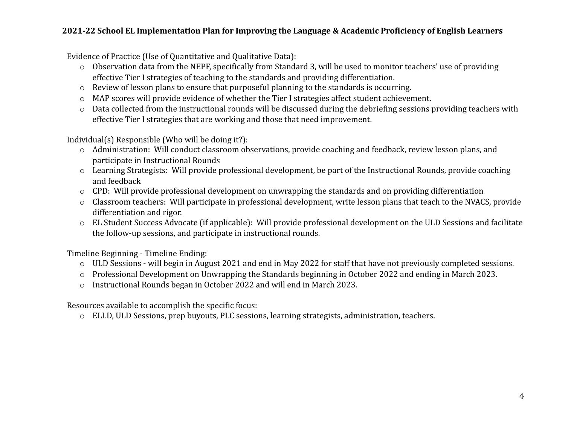Evidence of Practice (Use of Quantitative and Qualitative Data):

- o Observation data from the NEPF, specifically from Standard 3, will be used to monitor teachers' use of providing effective Tier I strategies of teaching to the standards and providing differentiation.
- o Review of lesson plans to ensure that purposeful planning to the standards is occurring.
- o MAP scores will provide evidence of whether the Tier I strategies affect student achievement.
- o Data collected from the instructional rounds will be discussed during the debriefing sessions providing teachers with effective Tier I strategies that are working and those that need improvement.

Individual(s) Responsible (Who will be doing it?):

- o Administration: Will conduct classroom observations, provide coaching and feedback, review lesson plans, and participate in Instructional Rounds
- o Learning Strategists: Will provide professional development, be part of the Instructional Rounds, provide coaching and feedback
- o CPD: Will provide professional development on unwrapping the standards and on providing differentiation
- o Classroom teachers: Will participate in professional development, write lesson plans that teach to the NVACS, provide differentiation and rigor.
- o EL Student Success Advocate (if applicable): Will provide professional development on the ULD Sessions and facilitate the follow-up sessions, and participate in instructional rounds.

Timeline Beginning - Timeline Ending:

- o ULD Sessions will begin in August 2021 and end in May 2022 for staff that have not previously completed sessions.
- o Professional Development on Unwrapping the Standards beginning in October 2022 and ending in March 2023.
- o Instructional Rounds began in October 2022 and will end in March 2023.

Resources available to accomplish the specific focus:

o ELLD, ULD Sessions, prep buyouts, PLC sessions, learning strategists, administration, teachers.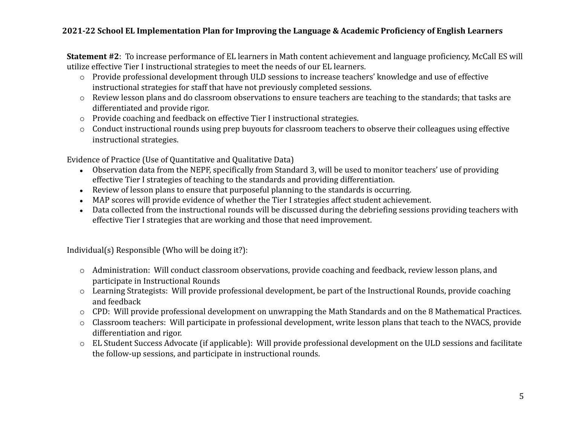**Statement #2**: To increase performance of EL learners in Math content achievement and language proficiency, McCall ES will utilize effective Tier I instructional strategies to meet the needs of our EL learners.

- o Provide professional development through ULD sessions to increase teachers' knowledge and use of effective instructional strategies for staff that have not previously completed sessions.
- o Review lesson plans and do classroom observations to ensure teachers are teaching to the standards; that tasks are differentiated and provide rigor.
- o Provide coaching and feedback on effective Tier I instructional strategies.
- o Conduct instructional rounds using prep buyouts for classroom teachers to observe their colleagues using effective instructional strategies.

Evidence of Practice (Use of Quantitative and Qualitative Data)

- Observation data from the NEPF, specifically from Standard 3, will be used to monitor teachers' use of providing effective Tier I strategies of teaching to the standards and providing differentiation.
- Review of lesson plans to ensure that purposeful planning to the standards is occurring.
- MAP scores will provide evidence of whether the Tier I strategies affect student achievement.
- Data collected from the instructional rounds will be discussed during the debriefing sessions providing teachers with effective Tier I strategies that are working and those that need improvement.

Individual(s) Responsible (Who will be doing it?):

- o Administration: Will conduct classroom observations, provide coaching and feedback, review lesson plans, and participate in Instructional Rounds
- o Learning Strategists: Will provide professional development, be part of the Instructional Rounds, provide coaching and feedback
- o CPD: Will provide professional development on unwrapping the Math Standards and on the 8 Mathematical Practices.
- o Classroom teachers: Will participate in professional development, write lesson plans that teach to the NVACS, provide differentiation and rigor.
- o EL Student Success Advocate (if applicable): Will provide professional development on the ULD sessions and facilitate the follow-up sessions, and participate in instructional rounds.